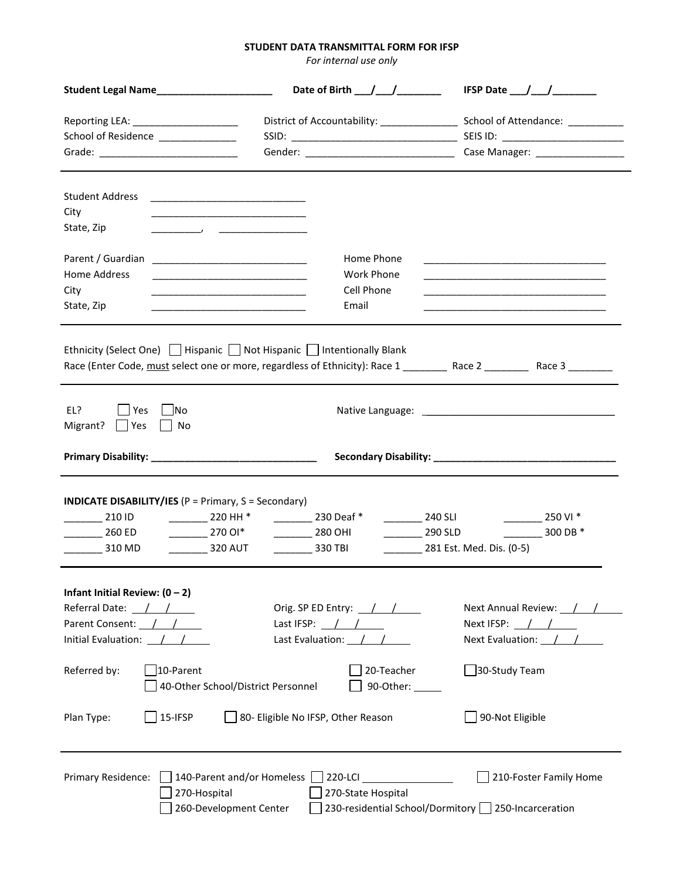## **STUDENT DATA TRANSMITTAL FORM FOR IFSP**

*For internal use only*

| Student Legal Name______________________                                                                                                                                                                                                                                                                                        | Date of Birth $\_$ / $\_$ / $\_$                                                      | IFSP Date $\frac{1}{\sqrt{1-\frac{1}{2}}}\frac{1}{\sqrt{1-\frac{1}{2}}\sqrt{1-\frac{1}{2}}\sqrt{1-\frac{1}{2}}\sqrt{1-\frac{1}{2}}\sqrt{1-\frac{1}{2}}\sqrt{1-\frac{1}{2}}\sqrt{1-\frac{1}{2}}\sqrt{1-\frac{1}{2}}\sqrt{1-\frac{1}{2}}\sqrt{1-\frac{1}{2}}\sqrt{1-\frac{1}{2}}\sqrt{1-\frac{1}{2}}\sqrt{1-\frac{1}{2}}\sqrt{1-\frac{1}{2}}\sqrt{1-\frac{1}{2}}\sqrt{1-\frac{1}{2}}\sqrt{1-\frac{1}{2}}\sqrt$ |  |  |  |
|---------------------------------------------------------------------------------------------------------------------------------------------------------------------------------------------------------------------------------------------------------------------------------------------------------------------------------|---------------------------------------------------------------------------------------|--------------------------------------------------------------------------------------------------------------------------------------------------------------------------------------------------------------------------------------------------------------------------------------------------------------------------------------------------------------------------------------------------------------|--|--|--|
| Reporting LEA: _______________________<br>School of Residence _____________                                                                                                                                                                                                                                                     | District of Accountability: _______________________ School of Attendance: ___________ |                                                                                                                                                                                                                                                                                                                                                                                                              |  |  |  |
|                                                                                                                                                                                                                                                                                                                                 |                                                                                       |                                                                                                                                                                                                                                                                                                                                                                                                              |  |  |  |
|                                                                                                                                                                                                                                                                                                                                 |                                                                                       |                                                                                                                                                                                                                                                                                                                                                                                                              |  |  |  |
| <b>Student Address</b>                                                                                                                                                                                                                                                                                                          |                                                                                       |                                                                                                                                                                                                                                                                                                                                                                                                              |  |  |  |
| City<br>State, Zip                                                                                                                                                                                                                                                                                                              |                                                                                       |                                                                                                                                                                                                                                                                                                                                                                                                              |  |  |  |
|                                                                                                                                                                                                                                                                                                                                 |                                                                                       |                                                                                                                                                                                                                                                                                                                                                                                                              |  |  |  |
|                                                                                                                                                                                                                                                                                                                                 | Home Phone                                                                            |                                                                                                                                                                                                                                                                                                                                                                                                              |  |  |  |
| <b>Home Address</b><br><u> 1989 - Johann John Harry Harry Harry Harry Harry Harry Harry Harry Harry Harry Harry Harry Harry Harry Harry</u>                                                                                                                                                                                     | Work Phone<br>Cell Phone                                                              | <u> 1989 - Johann Stoff, deutscher Stoff, der Stoff, der Stoff, der Stoff, der Stoff, der Stoff, der Stoff, der S</u>                                                                                                                                                                                                                                                                                        |  |  |  |
| City<br><u> 1989 - Johann John Stone, mars et al. 1989 - John Stone, mars et al. 1989 - John Stone, mars et al. 1989 - Joh</u><br>State, Zip                                                                                                                                                                                    | Email                                                                                 | <u> 1989 - Johann Harry Harry Harry Harry Harry Harry Harry Harry Harry Harry Harry Harry Harry Harry Harry Harry</u>                                                                                                                                                                                                                                                                                        |  |  |  |
|                                                                                                                                                                                                                                                                                                                                 |                                                                                       |                                                                                                                                                                                                                                                                                                                                                                                                              |  |  |  |
|                                                                                                                                                                                                                                                                                                                                 |                                                                                       |                                                                                                                                                                                                                                                                                                                                                                                                              |  |  |  |
| Ethnicity (Select One) $\Box$ Hispanic $\Box$ Not Hispanic $\Box$ Intentionally Blank<br>Race (Enter Code, must select one or more, regardless of Ethnicity): Race 1 _________ Race 2 ________ Race 3 _______                                                                                                                   |                                                                                       |                                                                                                                                                                                                                                                                                                                                                                                                              |  |  |  |
|                                                                                                                                                                                                                                                                                                                                 |                                                                                       |                                                                                                                                                                                                                                                                                                                                                                                                              |  |  |  |
| EL?                                                                                                                                                                                                                                                                                                                             |                                                                                       |                                                                                                                                                                                                                                                                                                                                                                                                              |  |  |  |
| Yes<br>lNo<br>Migrant?<br>  Yes<br>No                                                                                                                                                                                                                                                                                           |                                                                                       |                                                                                                                                                                                                                                                                                                                                                                                                              |  |  |  |
|                                                                                                                                                                                                                                                                                                                                 |                                                                                       |                                                                                                                                                                                                                                                                                                                                                                                                              |  |  |  |
|                                                                                                                                                                                                                                                                                                                                 |                                                                                       |                                                                                                                                                                                                                                                                                                                                                                                                              |  |  |  |
| <b>INDICATE DISABILITY/IES</b> ( $P = Primary$ , $S = Secondary$ )<br>$240$ SLI<br>$\frac{1}{2}$ 230 Deaf*<br>$\frac{1}{2}$ 210 ID<br>$\frac{1}{2}$ 220 HH *<br>250 VI *<br>$270 \, \text{O}^*$<br>$\frac{290}{2}$<br>$260$ ED<br>$280$ OHI<br>$300$ DB $^*$<br>320 AUT<br>281 Est. Med. Dis. (0-5)<br>310 MD<br><b>330 TBI</b> |                                                                                       |                                                                                                                                                                                                                                                                                                                                                                                                              |  |  |  |
|                                                                                                                                                                                                                                                                                                                                 |                                                                                       |                                                                                                                                                                                                                                                                                                                                                                                                              |  |  |  |
| Infant Initial Review: $(0 - 2)$<br>Referral Date: $\frac{1}{1}$                                                                                                                                                                                                                                                                | Orig. SP ED Entry: $/$ /                                                              | Next Annual Review: / /                                                                                                                                                                                                                                                                                                                                                                                      |  |  |  |
| Parent Consent: //                                                                                                                                                                                                                                                                                                              | Last IFSP: $\frac{1}{2}$ / $\frac{1}{2}$                                              | Next IFSP: $\frac{1}{\sqrt{2}}$                                                                                                                                                                                                                                                                                                                                                                              |  |  |  |
| Initial Evaluation: $\frac{\ }{\ }$ / $\frac{\ }{\ }$                                                                                                                                                                                                                                                                           | Last Evaluation: $/$ /                                                                | Next Evaluation: $\frac{1}{\sqrt{2}}$                                                                                                                                                                                                                                                                                                                                                                        |  |  |  |
| 30-Study Team<br>10-Parent<br>20-Teacher<br>Referred by:<br>40-Other School/District Personnel<br>90-Other: _____                                                                                                                                                                                                               |                                                                                       |                                                                                                                                                                                                                                                                                                                                                                                                              |  |  |  |
| Plan Type:<br>15-IFSP                                                                                                                                                                                                                                                                                                           | 80- Eligible No IFSP, Other Reason                                                    | 90-Not Eligible                                                                                                                                                                                                                                                                                                                                                                                              |  |  |  |
| Primary Residence:<br>140-Parent and/or Homeless<br>270-Hospital<br>260-Development Center                                                                                                                                                                                                                                      | 270-State Hospital<br>230-residential School/Dormitory 250-Incarceration              | 210-Foster Family Home                                                                                                                                                                                                                                                                                                                                                                                       |  |  |  |